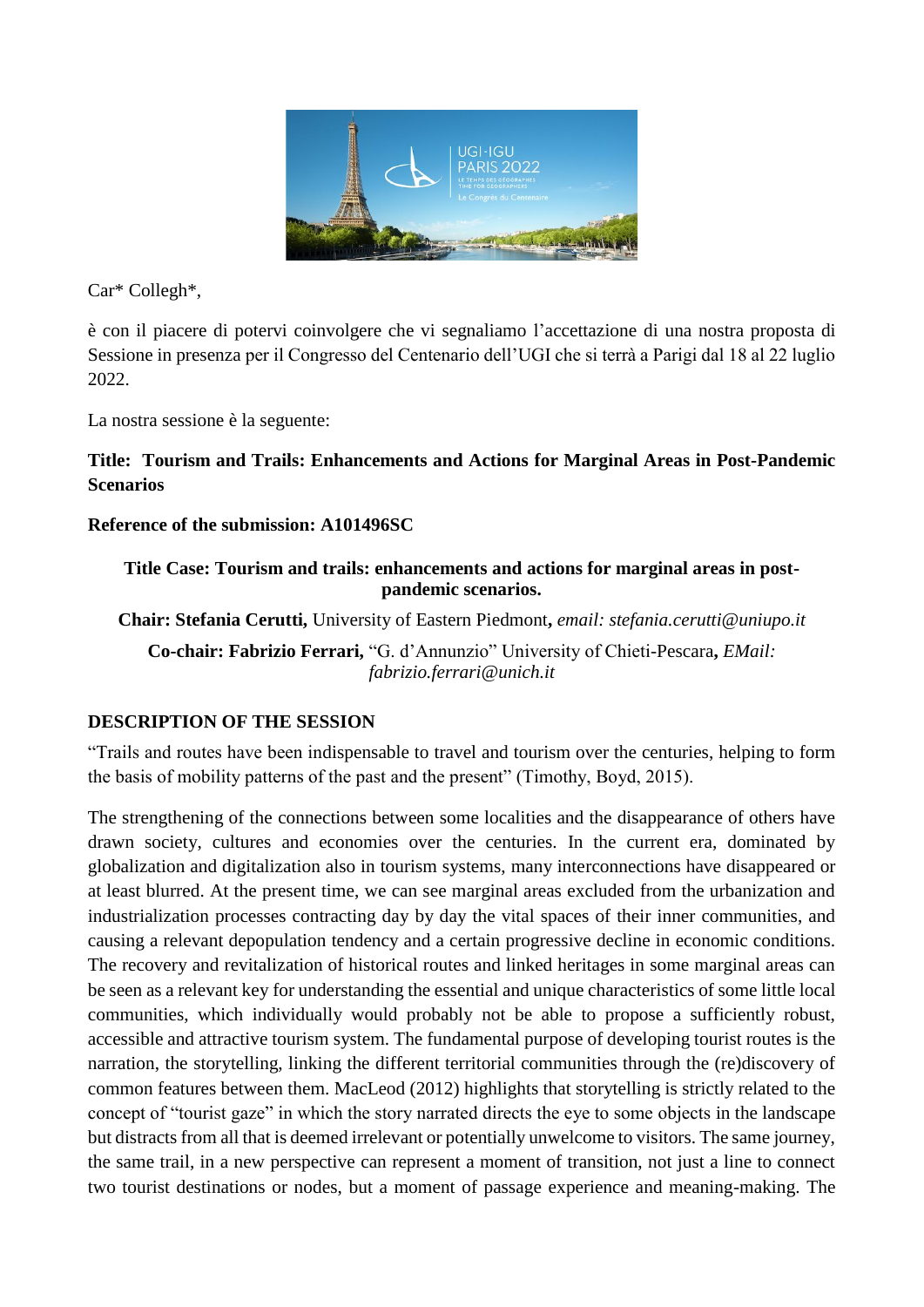

Car\* Collegh\*,

è con il piacere di potervi coinvolgere che vi segnaliamo l'accettazione di una nostra proposta di Sessione in presenza per il Congresso del Centenario dell'UGI che si terrà a Parigi dal 18 al 22 luglio 2022.

La nostra sessione è la seguente:

**Title: Tourism and Trails: Enhancements and Actions for Marginal Areas in Post-Pandemic Scenarios**

## **Reference of the submission: A101496SC**

**Title Case: Tourism and trails: enhancements and actions for marginal areas in postpandemic scenarios.**

**Chair: Stefania Cerutti,** University of Eastern Piedmont**,** *email: stefania.cerutti@uniupo.it*

**Co-chair: Fabrizio Ferrari,** "G. d'Annunzio" University of Chieti-Pescara**,** *EMail: fabrizio.ferrari@unich.it*

## **DESCRIPTION OF THE SESSION**

"Trails and routes have been indispensable to travel and tourism over the centuries, helping to form the basis of mobility patterns of the past and the present" (Timothy, Boyd, 2015).

The strengthening of the connections between some localities and the disappearance of others have drawn society, cultures and economies over the centuries. In the current era, dominated by globalization and digitalization also in tourism systems, many interconnections have disappeared or at least blurred. At the present time, we can see marginal areas excluded from the urbanization and industrialization processes contracting day by day the vital spaces of their inner communities, and causing a relevant depopulation tendency and a certain progressive decline in economic conditions. The recovery and revitalization of historical routes and linked heritages in some marginal areas can be seen as a relevant key for understanding the essential and unique characteristics of some little local communities, which individually would probably not be able to propose a sufficiently robust, accessible and attractive tourism system. The fundamental purpose of developing tourist routes is the narration, the storytelling, linking the different territorial communities through the (re)discovery of common features between them. MacLeod (2012) highlights that storytelling is strictly related to the concept of "tourist gaze" in which the story narrated directs the eye to some objects in the landscape but distracts from all that is deemed irrelevant or potentially unwelcome to visitors. The same journey, the same trail, in a new perspective can represent a moment of transition, not just a line to connect two tourist destinations or nodes, but a moment of passage experience and meaning-making. The